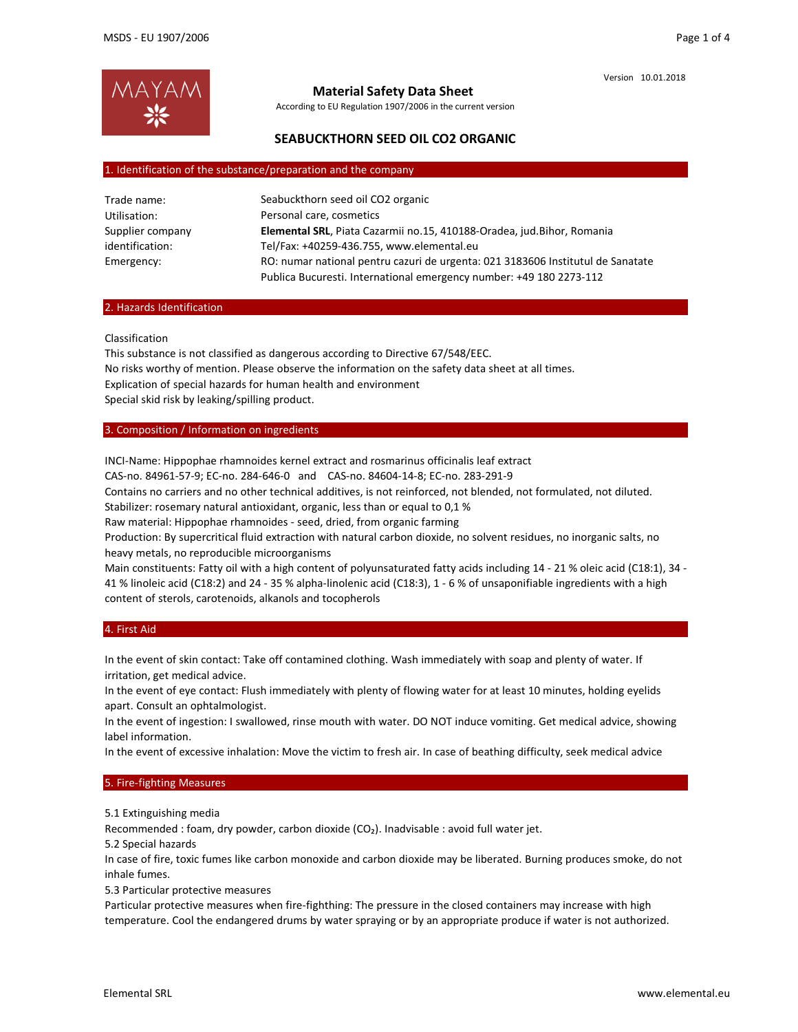

## **Material Safety Data Sheet**

According to EU Regulation 1907/2006 in the current version

## **SEABUCKTHORN SEED OIL CO2 ORGANIC**

### 1. Identification of the substance/preparation and the company

| Trade name:      | Seabuckthorn seed oil CO2 organic                                               |
|------------------|---------------------------------------------------------------------------------|
| Utilisation:     | Personal care, cosmetics                                                        |
| Supplier company | Elemental SRL, Piata Cazarmii no.15, 410188-Oradea, jud.Bihor, Romania          |
| identification:  | Tel/Fax: +40259-436.755, www.elemental.eu                                       |
| Emergency:       | RO: numar national pentru cazuri de urgenta: 021 3183606 Institutul de Sanatate |
|                  | Publica Bucuresti. International emergency number: +49 180 2273-112             |

### 2. Hazards Identification

Classification

This substance is not classified as dangerous according to Directive 67/548/EEC. No risks worthy of mention. Please observe the information on the safety data sheet at all times. Explication of special hazards for human health and environment Special skid risk by leaking/spilling product.

### 3. Composition / Information on ingredients

INCI‐Name: Hippophae rhamnoides kernel extract and rosmarinus officinalis leaf extract CAS‐no. 84961‐57‐9; EC‐no. 284‐646‐0 and CAS‐no. 84604‐14‐8; EC‐no. 283‐291‐9 Contains no carriers and no other technical additives, is not reinforced, not blended, not formulated, not diluted. Stabilizer: rosemary natural antioxidant, organic, less than or equal to 0,1 % Raw material: Hippophae rhamnoides ‐ seed, dried, from organic farming Production: By supercritical fluid extraction with natural carbon dioxide, no solvent residues, no inorganic salts, no heavy metals, no reproducible microorganisms Main constituents: Fatty oil with a high content of polyunsaturated fatty acids including 14 - 21 % oleic acid (C18:1), 34 -41 % linoleic acid (C18:2) and 24 ‐ 35 % alpha‐linolenic acid (C18:3), 1 ‐ 6 % of unsaponifiable ingredients with a high content of sterols, carotenoids, alkanols and tocopherols

### 4. First Aid

In the event of skin contact: Take off contamined clothing. Wash immediately with soap and plenty of water. If irritation, get medical advice.

In the event of eye contact: Flush immediately with plenty of flowing water for at least 10 minutes, holding eyelids apart. Consult an ophtalmologist.

In the event of ingestion: I swallowed, rinse mouth with water. DO NOT induce vomiting. Get medical advice, showing label information.

In the event of excessive inhalation: Move the victim to fresh air. In case of beathing difficulty, seek medical advice

### 5. Fire‐fighting Measures

5.1 Extinguishing media

Recommended : foam, dry powder, carbon dioxide (CO<sub>2</sub>). Inadvisable : avoid full water jet.

5.2 Special hazards

In case of fire, toxic fumes like carbon monoxide and carbon dioxide may be liberated. Burning produces smoke, do not inhale fumes.

5.3 Particular protective measures

Particular protective measures when fire‐fighthing: The pressure in the closed containers may increase with high temperature. Cool the endangered drums by water spraying or by an appropriate produce if water is not authorized.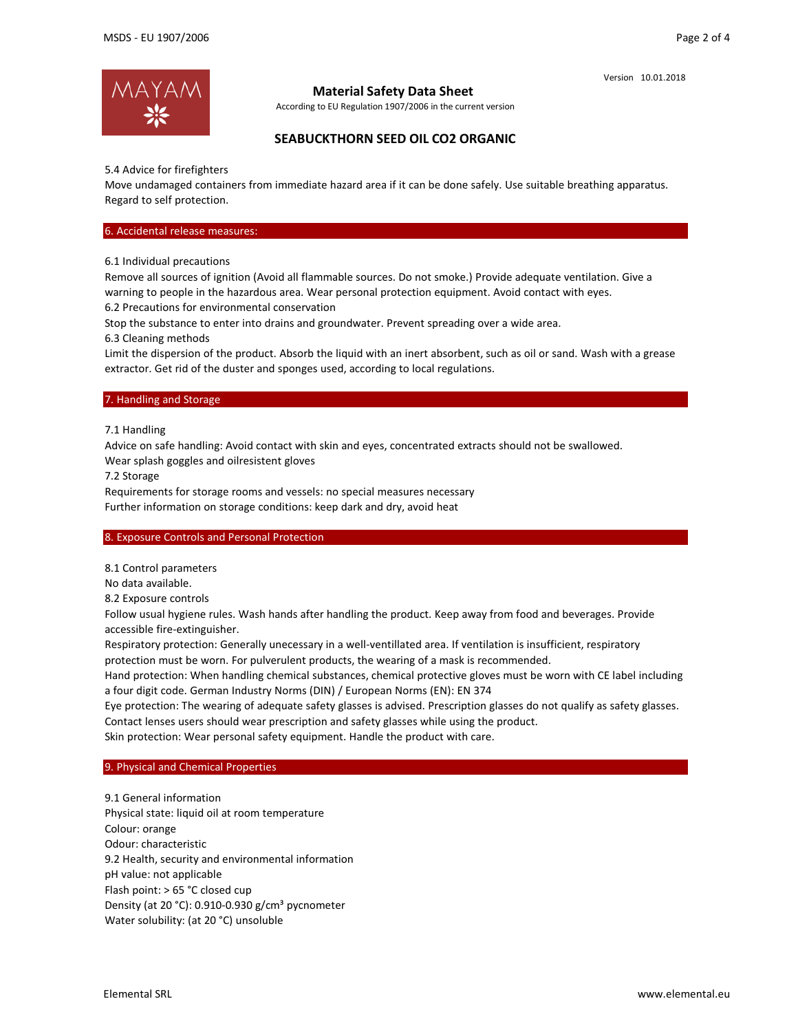

## **Material Safety Data Sheet**

According to EU Regulation 1907/2006 in the current version

# **SEABUCKTHORN SEED OIL CO2 ORGANIC**

5.4 Advice for firefighters

Move undamaged containers from immediate hazard area if it can be done safely. Use suitable breathing apparatus. Regard to self protection.

### 6. Accidental release measures:

6.1 Individual precautions

Remove all sources of ignition (Avoid all flammable sources. Do not smoke.) Provide adequate ventilation. Give a warning to people in the hazardous area. Wear personal protection equipment. Avoid contact with eyes.

6.2 Precautions for environmental conservation

Stop the substance to enter into drains and groundwater. Prevent spreading over a wide area.

6.3 Cleaning methods

Limit the dispersion of the product. Absorb the liquid with an inert absorbent, such as oil or sand. Wash with a grease extractor. Get rid of the duster and sponges used, according to local regulations.

### 7. Handling and Storage

7.1 Handling

Advice on safe handling: Avoid contact with skin and eyes, concentrated extracts should not be swallowed.

Wear splash goggles and oilresistent gloves

7.2 Storage

Requirements for storage rooms and vessels: no special measures necessary

Further information on storage conditions: keep dark and dry, avoid heat

## 8. Exposure Controls and Personal Protection

8.1 Control parameters

No data available.

8.2 Exposure controls

Follow usual hygiene rules. Wash hands after handling the product. Keep away from food and beverages. Provide accessible fire‐extinguisher.

Respiratory protection: Generally unecessary in a well-ventillated area. If ventilation is insufficient, respiratory protection must be worn. For pulverulent products, the wearing of a mask is recommended.

Hand protection: When handling chemical substances, chemical protective gloves must be worn with CE label including a four digit code. German Industry Norms (DIN) / European Norms (EN): EN 374

Eye protection: The wearing of adequate safety glasses is advised. Prescription glasses do not qualify as safety glasses. Contact lenses users should wear prescription and safety glasses while using the product.

Skin protection: Wear personal safety equipment. Handle the product with care.

## 9. Physical and Chemical Properties

9.1 General information Physical state: liquid oil at room temperature Colour: orange Odour: characteristic 9.2 Health, security and environmental information pH value: not applicable Flash point: > 65 °C closed cup Density (at 20 °C): 0.910-0.930  $g/cm<sup>3</sup>$  pycnometer Water solubility: (at 20 °C) unsoluble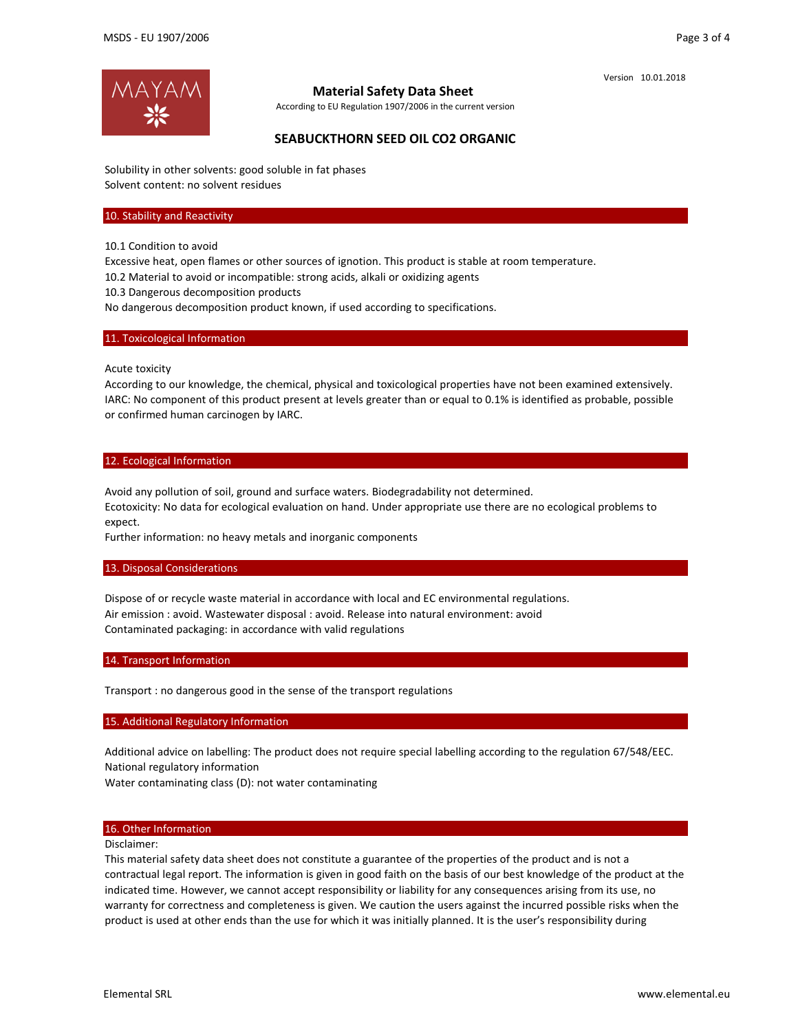

## **Material Safety Data Sheet**

According to EU Regulation 1907/2006 in the current version

# **SEABUCKTHORN SEED OIL CO2 ORGANIC**

Solubility in other solvents: good soluble in fat phases Solvent content: no solvent residues

#### 10. Stability and Reactivity

10.1 Condition to avoid

Excessive heat, open flames or other sources of ignotion. This product is stable at room temperature.

10.2 Material to avoid or incompatible: strong acids, alkali or oxidizing agents

10.3 Dangerous decomposition products

No dangerous decomposition product known, if used according to specifications.

### 11. Toxicological Information

Acute toxicity

According to our knowledge, the chemical, physical and toxicological properties have not been examined extensively. IARC: No component of this product present at levels greater than or equal to 0.1% is identified as probable, possible or confirmed human carcinogen by IARC.

#### 12. Ecological Information

Avoid any pollution of soil, ground and surface waters. Biodegradability not determined.

Ecotoxicity: No data for ecological evaluation on hand. Under appropriate use there are no ecological problems to expect.

Further information: no heavy metals and inorganic components

#### 13. Disposal Considerations

Dispose of or recycle waste material in accordance with local and EC environmental regulations. Air emission : avoid. Wastewater disposal : avoid. Release into natural environment: avoid Contaminated packaging: in accordance with valid regulations

### 14. Transport Information

Transport : no dangerous good in the sense of the transport regulations

#### 15. Additional Regulatory Information

Additional advice on labelling: The product does not require special labelling according to the regulation 67/548/EEC. National regulatory information

Water contaminating class (D): not water contaminating

### 16. Other Information

Disclaimer:

This material safety data sheet does not constitute a guarantee of the properties of the product and is not a contractual legal report. The information is given in good faith on the basis of our best knowledge of the product at the indicated time. However, we cannot accept responsibility or liability for any consequences arising from its use, no warranty for correctness and completeness is given. We caution the users against the incurred possible risks when the product is used at other ends than the use for which it was initially planned. It is the user's responsibility during